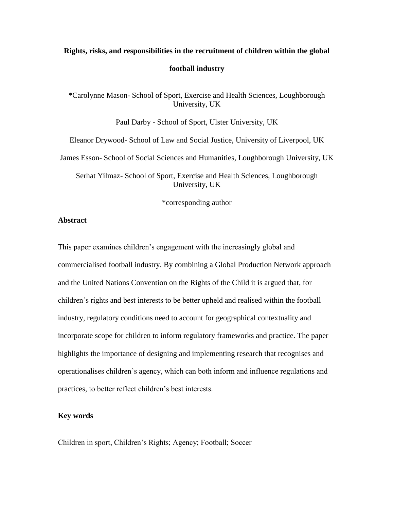# **Rights, risks, and responsibilities in the recruitment of children within the global football industry**

\*Carolynne Mason- School of Sport, Exercise and Health Sciences, Loughborough University, UK

Paul Darby - School of Sport, Ulster University, UK

Eleanor Drywood- School of Law and Social Justice, University of Liverpool, UK

James Esson- School of Social Sciences and Humanities, Loughborough University, UK

Serhat Yilmaz- School of Sport, Exercise and Health Sciences, Loughborough University, UK

\*corresponding author

### **Abstract**

This paper examines children's engagement with the increasingly global and commercialised football industry. By combining a Global Production Network approach and the United Nations Convention on the Rights of the Child it is argued that, for children's rights and best interests to be better upheld and realised within the football industry, regulatory conditions need to account for geographical contextuality and incorporate scope for children to inform regulatory frameworks and practice. The paper highlights the importance of designing and implementing research that recognises and operationalises children's agency, which can both inform and influence regulations and practices, to better reflect children's best interests.

### **Key words**

Children in sport, Children's Rights; Agency; Football; Soccer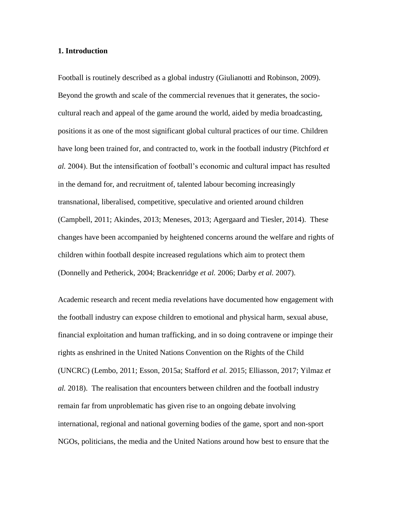### **1. Introduction**

Football is routinely described as a global industry (Giulianotti and Robinson, 2009). Beyond the growth and scale of the commercial revenues that it generates, the sociocultural reach and appeal of the game around the world, aided by media broadcasting, positions it as one of the most significant global cultural practices of our time. Children have long been trained for, and contracted to, work in the football industry (Pitchford *et al.* 2004). But the intensification of football's economic and cultural impact has resulted in the demand for, and recruitment of, talented labour becoming increasingly transnational, liberalised, competitive, speculative and oriented around children (Campbell, 2011; Akindes, 2013; Meneses, 2013; Agergaard and Tiesler, 2014). These changes have been accompanied by heightened concerns around the welfare and rights of children within football despite increased regulations which aim to protect them (Donnelly and Petherick, 2004; Brackenridge *et al.* 2006; Darby *et al.* 2007).

Academic research and recent media revelations have documented how engagement with the football industry can expose children to emotional and physical harm, sexual abuse, financial exploitation and human trafficking, and in so doing contravene or impinge their rights as enshrined in the United Nations Convention on the Rights of the Child (UNCRC) (Lembo, 2011; Esson, 2015a; Stafford *et al.* 2015; Elliasson, 2017; Yilmaz *et al.* 2018). The realisation that encounters between children and the football industry remain far from unproblematic has given rise to an ongoing debate involving international, regional and national governing bodies of the game, sport and non-sport NGOs, politicians, the media and the United Nations around how best to ensure that the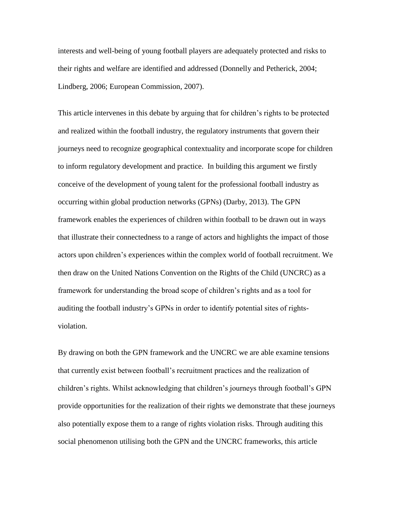interests and well-being of young football players are adequately protected and risks to their rights and welfare are identified and addressed (Donnelly and Petherick, 2004; Lindberg, 2006; European Commission, 2007).

This article intervenes in this debate by arguing that for children's rights to be protected and realized within the football industry, the regulatory instruments that govern their journeys need to recognize geographical contextuality and incorporate scope for children to inform regulatory development and practice. In building this argument we firstly conceive of the development of young talent for the professional football industry as occurring within global production networks (GPNs) (Darby, 2013). The GPN framework enables the experiences of children within football to be drawn out in ways that illustrate their connectedness to a range of actors and highlights the impact of those actors upon children's experiences within the complex world of football recruitment. We then draw on the United Nations Convention on the Rights of the Child (UNCRC) as a framework for understanding the broad scope of children's rights and as a tool for auditing the football industry's GPNs in order to identify potential sites of rightsviolation.

By drawing on both the GPN framework and the UNCRC we are able examine tensions that currently exist between football's recruitment practices and the realization of children's rights. Whilst acknowledging that children's journeys through football's GPN provide opportunities for the realization of their rights we demonstrate that these journeys also potentially expose them to a range of rights violation risks. Through auditing this social phenomenon utilising both the GPN and the UNCRC frameworks, this article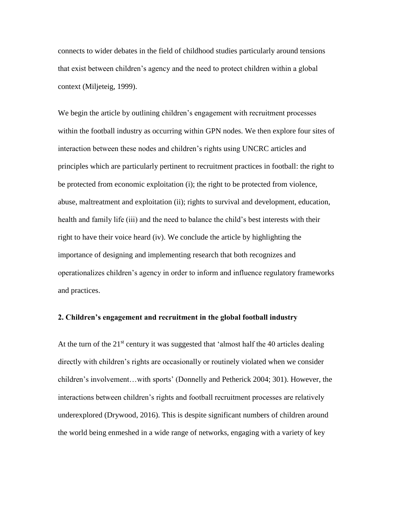connects to wider debates in the field of childhood studies particularly around tensions that exist between children's agency and the need to protect children within a global context (Miljeteig, 1999).

We begin the article by outlining children's engagement with recruitment processes within the football industry as occurring within GPN nodes. We then explore four sites of interaction between these nodes and children's rights using UNCRC articles and principles which are particularly pertinent to recruitment practices in football: the right to be protected from economic exploitation (i); the right to be protected from violence, abuse, maltreatment and exploitation (ii); rights to survival and development, education, health and family life (iii) and the need to balance the child's best interests with their right to have their voice heard (iv). We conclude the article by highlighting the importance of designing and implementing research that both recognizes and operationalizes children's agency in order to inform and influence regulatory frameworks and practices.

### **2. Children's engagement and recruitment in the global football industry**

At the turn of the  $21^{st}$  century it was suggested that 'almost half the 40 articles dealing directly with children's rights are occasionally or routinely violated when we consider children's involvement…with sports' (Donnelly and Petherick 2004; 301). However, the interactions between children's rights and football recruitment processes are relatively underexplored (Drywood, 2016). This is despite significant numbers of children around the world being enmeshed in a wide range of networks, engaging with a variety of key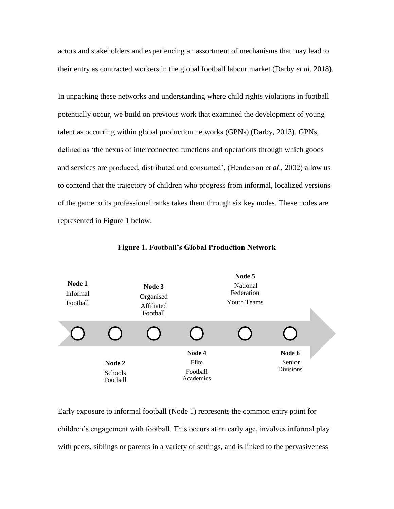actors and stakeholders and experiencing an assortment of mechanisms that may lead to their entry as contracted workers in the global football labour market (Darby *et al*. 2018).

In unpacking these networks and understanding where child rights violations in football potentially occur, we build on previous work that examined the development of young talent as occurring within global production networks (GPNs) (Darby, 2013). GPNs, defined as 'the nexus of interconnected functions and operations through which goods and services are produced, distributed and consumed', (Henderson *et al*., 2002) allow us to contend that the trajectory of children who progress from informal, localized versions of the game to its professional ranks takes them through six key nodes. These nodes are represented in Figure 1 below.



**Figure 1. Football's Global Production Network**

Early exposure to informal football (Node 1) represents the common entry point for children's engagement with football. This occurs at an early age, involves informal play with peers, siblings or parents in a variety of settings, and is linked to the pervasiveness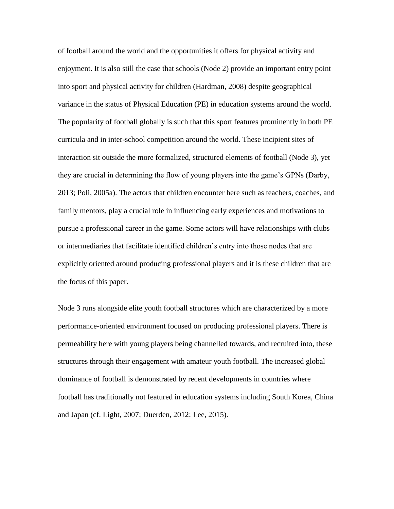of football around the world and the opportunities it offers for physical activity and enjoyment. It is also still the case that schools (Node 2) provide an important entry point into sport and physical activity for children (Hardman, 2008) despite geographical variance in the status of Physical Education (PE) in education systems around the world. The popularity of football globally is such that this sport features prominently in both PE curricula and in inter-school competition around the world. These incipient sites of interaction sit outside the more formalized, structured elements of football (Node 3), yet they are crucial in determining the flow of young players into the game's GPNs (Darby, 2013; Poli, 2005a). The actors that children encounter here such as teachers, coaches, and family mentors, play a crucial role in influencing early experiences and motivations to pursue a professional career in the game. Some actors will have relationships with clubs or intermediaries that facilitate identified children's entry into those nodes that are explicitly oriented around producing professional players and it is these children that are the focus of this paper.

Node 3 runs alongside elite youth football structures which are characterized by a more performance*-*oriented environment focused on producing professional players. There is permeability here with young players being channelled towards, and recruited into, these structures through their engagement with amateur youth football. The increased global dominance of football is demonstrated by recent developments in countries where football has traditionally not featured in education systems including South Korea, China and Japan (cf. Light, 2007; Duerden, 2012; Lee, 2015).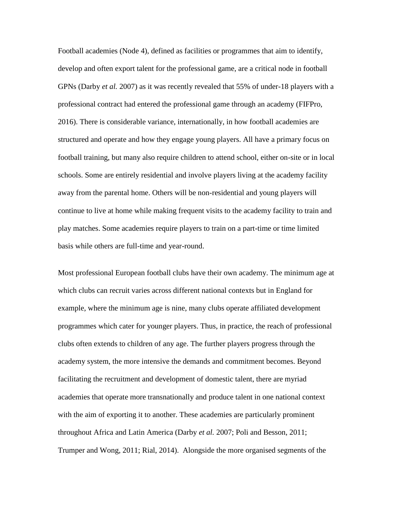Football academies (Node 4), defined as facilities or programmes that aim to identify, develop and often export talent for the professional game, are a critical node in football GPNs (Darby *et al.* 2007) as it was recently revealed that 55% of under-18 players with a professional contract had entered the professional game through an academy (FIFPro, 2016). There is considerable variance, internationally, in how football academies are structured and operate and how they engage young players. All have a primary focus on football training, but many also require children to attend school, either on-site or in local schools. Some are entirely residential and involve players living at the academy facility away from the parental home. Others will be non-residential and young players will continue to live at home while making frequent visits to the academy facility to train and play matches. Some academies require players to train on a part-time or time limited basis while others are full-time and year-round.

Most professional European football clubs have their own academy. The minimum age at which clubs can recruit varies across different national contexts but in England for example, where the minimum age is nine, many clubs operate affiliated development programmes which cater for younger players. Thus, in practice, the reach of professional clubs often extends to children of any age. The further players progress through the academy system, the more intensive the demands and commitment becomes. Beyond facilitating the recruitment and development of domestic talent, there are myriad academies that operate more transnationally and produce talent in one national context with the aim of exporting it to another. These academies are particularly prominent throughout Africa and Latin America (Darby *et al.* 2007; Poli and Besson, 2011; Trumper and Wong, 2011; Rial, 2014). Alongside the more organised segments of the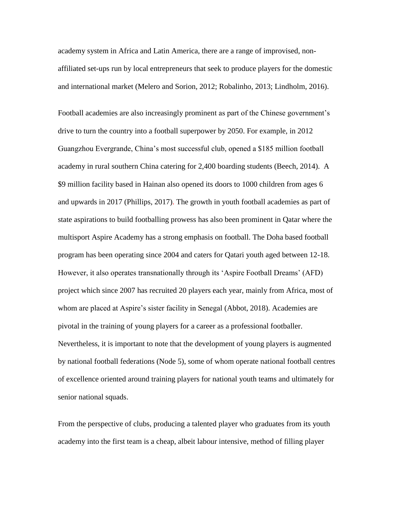academy system in Africa and Latin America, there are a range of improvised, nonaffiliated set-ups run by local entrepreneurs that seek to produce players for the domestic and international market (Melero and Sorion, 2012; Robalinho, 2013; Lindholm, 2016).

Football academies are also increasingly prominent as part of the Chinese government's drive to turn the country into a football superpower by 2050. For example, in 2012 Guangzhou Evergrande, China's most successful club, opened a \$185 million football academy in rural southern China catering for 2,400 boarding students (Beech, 2014). A \$9 million facility based in Hainan also opened its doors to 1000 children from ages 6 and upwards in 2017 (Phillips, 2017). The growth in youth football academies as part of state aspirations to build footballing prowess has also been prominent in Qatar where the multisport Aspire Academy has a strong emphasis on football. The Doha based football program has been operating since 2004 and caters for Qatari youth aged between 12-18. However, it also operates transnationally through its 'Aspire Football Dreams' (AFD) project which since 2007 has recruited 20 players each year, mainly from Africa, most of whom are placed at Aspire's sister facility in Senegal (Abbot, 2018). Academies are pivotal in the training of young players for a career as a professional footballer. Nevertheless, it is important to note that the development of young players is augmented by national football federations (Node 5), some of whom operate national football centres of excellence oriented around training players for national youth teams and ultimately for senior national squads.

From the perspective of clubs, producing a talented player who graduates from its youth academy into the first team is a cheap, albeit labour intensive, method of filling player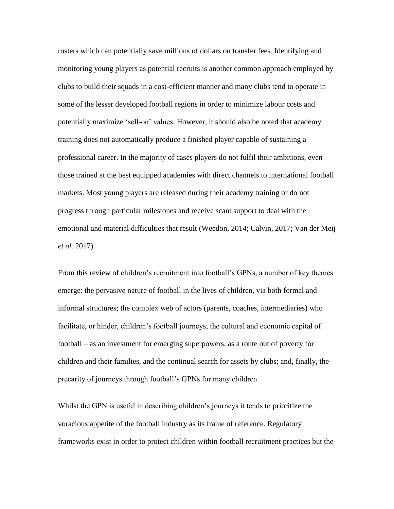rosters which can potentially save millions of dollars on transfer fees. Identifying and monitoring young players as potential recruits is another common approach employed by clubs to build their squads in a cost-efficient manner and many clubs tend to operate in some of the lesser developed football regions in order to minimize labour costs and potentially maximize 'sell-on' values. However, it should also be noted that academy training does not automatically produce a finished player capable of sustaining a professional career. In the majority of cases players do not fulfil their ambitions, even those trained at the best equipped academies with direct channels to international football markets. Most young players are released during their academy training or do not progress through particular milestones and receive scant support to deal with the emotional and material difficulties that result (Weedon, 2014; Calvin, 2017; Van der Meij *et al.* 2017).

From this review of children's recruitment into football's GPNs, a number of key themes emerge: the pervasive nature of football in the lives of children, via both formal and informal structures; the complex web of actors (parents, coaches, intermediaries) who facilitate, or hinder, children's football journeys; the cultural and economic capital of football – as an investment for emerging superpowers, as a route out of poverty for children and their families, and the continual search for assets by clubs; and, finally, the precarity of journeys through football's GPNs for many children.

Whilst the GPN is useful in describing children's journeys it tends to prioritize the voracious appetite of the football industry as its frame of reference. Regulatory frameworks exist in order to protect children within football recruitment practices but the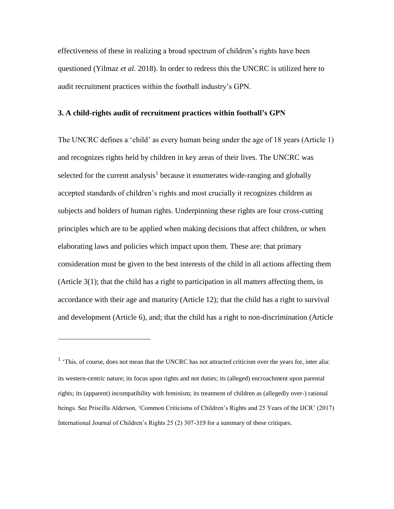effectiveness of these in realizing a broad spectrum of children's rights have been questioned (Yilmaz *et al.* 2018). In order to redress this the UNCRC is utilized here to audit recruitment practices within the football industry's GPN.

### **3. A child-rights audit of recruitment practices within football's GPN**

The UNCRC defines a 'child' as every human being under the age of 18 years (Article 1) and recognizes rights held by children in key areas of their lives. The UNCRC was selected for the current analysis<sup>1</sup> because it enumerates wide-ranging and globally accepted standards of children's rights and most crucially it recognizes children as subjects and holders of human rights. Underpinning these rights are four cross-cutting principles which are to be applied when making decisions that affect children, or when elaborating laws and policies which impact upon them. These are: that primary consideration must be given to the best interests of the child in all actions affecting them (Article 3(1); that the child has a right to participation in all matters affecting them, in accordance with their age and maturity (Article 12); that the child has a right to survival and development (Article 6), and; that the child has a right to non-discrimination (Article

 $\overline{a}$ 

<sup>&</sup>lt;sup>1</sup> 'This, of course, does not mean that the UNCRC has not attracted criticism over the years for, inter alia: its western-centric nature; its focus upon rights and not duties; its (alleged) encroachment upon parental rights; its (apparent) incompatibility with feminism; its treatment of children as (allegedly over-) rational beings. See Priscilla Alderson, 'Common Criticisms of Children's Rights and 25 Years of the IJCR' (2017) International Journal of Children's Rights 25 (2) 307-319 for a summary of these critiques.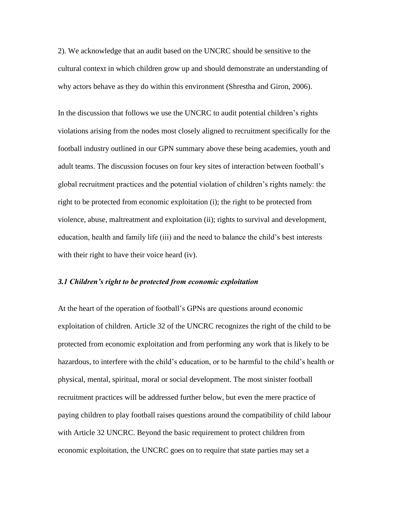2). We acknowledge that an audit based on the UNCRC should be sensitive to the cultural context in which children grow up and should demonstrate an understanding of why actors behave as they do within this environment (Shrestha and Giron, 2006).

In the discussion that follows we use the UNCRC to audit potential children's rights violations arising from the nodes most closely aligned to recruitment specifically for the football industry outlined in our GPN summary above these being academies, youth and adult teams. The discussion focuses on four key sites of interaction between football's global recruitment practices and the potential violation of children's rights namely: the right to be protected from economic exploitation (i); the right to be protected from violence, abuse, maltreatment and exploitation (ii); rights to survival and development, education, health and family life (iii) and the need to balance the child's best interests with their right to have their voice heard (iv).

#### *3.1 Children's right to be protected from economic exploitation*

At the heart of the operation of football's GPNs are questions around economic exploitation of children. Article 32 of the UNCRC recognizes the right of the child to be protected from economic exploitation and from performing any work that is likely to be hazardous, to interfere with the child's education, or to be harmful to the child's health or physical, mental, spiritual, moral or social development. The most sinister football recruitment practices will be addressed further below, but even the mere practice of paying children to play football raises questions around the compatibility of child labour with Article 32 UNCRC. Beyond the basic requirement to protect children from economic exploitation, the UNCRC goes on to require that state parties may set a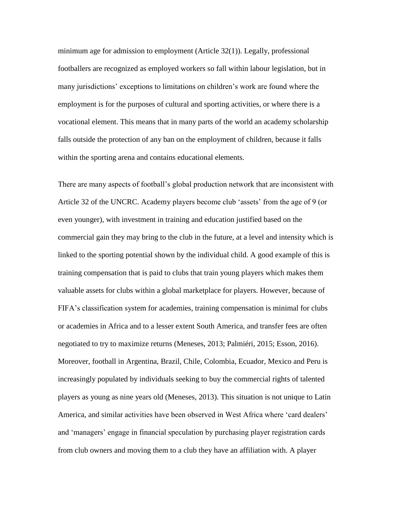minimum age for admission to employment (Article 32(1)). Legally, professional footballers are recognized as employed workers so fall within labour legislation, but in many jurisdictions' exceptions to limitations on children's work are found where the employment is for the purposes of cultural and sporting activities, or where there is a vocational element. This means that in many parts of the world an academy scholarship falls outside the protection of any ban on the employment of children, because it falls within the sporting arena and contains educational elements.

There are many aspects of football's global production network that are inconsistent with Article 32 of the UNCRC. Academy players become club 'assets' from the age of 9 (or even younger), with investment in training and education justified based on the commercial gain they may bring to the club in the future, at a level and intensity which is linked to the sporting potential shown by the individual child. A good example of this is training compensation that is paid to clubs that train young players which makes them valuable assets for clubs within a global marketplace for players. However, because of FIFA's classification system for academies, training compensation is minimal for clubs or academies in Africa and to a lesser extent South America, and transfer fees are often negotiated to try to maximize returns (Meneses, 2013; Palmiéri, 2015; Esson, 2016). Moreover, football in Argentina, Brazil, Chile, Colombia, Ecuador, Mexico and Peru is increasingly populated by individuals seeking to buy the commercial rights of talented players as young as nine years old (Meneses, 2013). This situation is not unique to Latin America, and similar activities have been observed in West Africa where 'card dealers' and 'managers' engage in financial speculation by purchasing player registration cards from club owners and moving them to a club they have an affiliation with. A player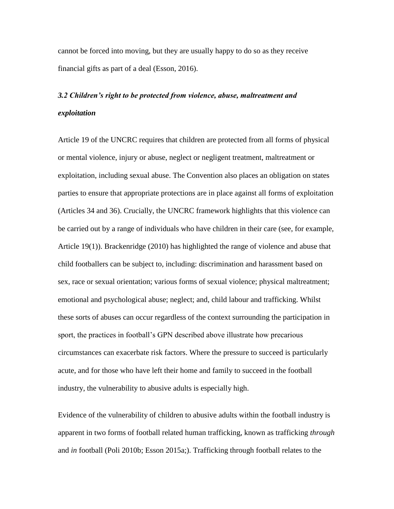cannot be forced into moving, but they are usually happy to do so as they receive financial gifts as part of a deal (Esson, 2016).

## *3.2 Children's right to be protected from violence, abuse, maltreatment and exploitation*

Article 19 of the UNCRC requires that children are protected from all forms of physical or mental violence, injury or abuse, neglect or negligent treatment, maltreatment or exploitation, including sexual abuse. The Convention also places an obligation on states parties to ensure that appropriate protections are in place against all forms of exploitation (Articles 34 and 36). Crucially, the UNCRC framework highlights that this violence can be carried out by a range of individuals who have children in their care (see, for example, Article 19(1)). Brackenridge (2010) has highlighted the range of violence and abuse that child footballers can be subject to, including: discrimination and harassment based on sex, race or sexual orientation; various forms of sexual violence; physical maltreatment; emotional and psychological abuse; neglect; and, child labour and trafficking. Whilst these sorts of abuses can occur regardless of the context surrounding the participation in sport, the practices in football's GPN described above illustrate how precarious circumstances can exacerbate risk factors. Where the pressure to succeed is particularly acute, and for those who have left their home and family to succeed in the football industry, the vulnerability to abusive adults is especially high.

Evidence of the vulnerability of children to abusive adults within the football industry is apparent in two forms of football related human trafficking, known as trafficking *through*  and *in* football (Poli 2010b; Esson 2015a;). Trafficking through football relates to the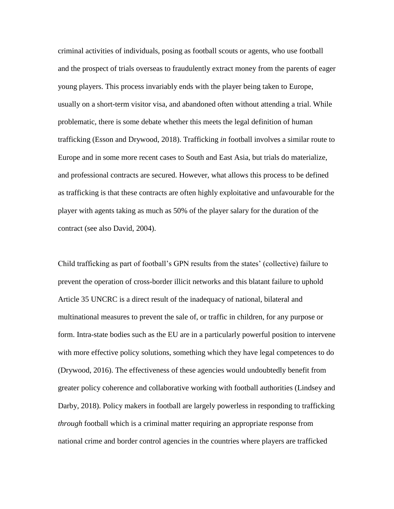criminal activities of individuals, posing as football scouts or agents, who use football and the prospect of trials overseas to fraudulently extract money from the parents of eager young players. This process invariably ends with the player being taken to Europe, usually on a short-term visitor visa, and abandoned often without attending a trial. While problematic, there is some debate whether this meets the legal definition of human trafficking (Esson and Drywood, 2018). Trafficking *in* football involves a similar route to Europe and in some more recent cases to South and East Asia, but trials do materialize, and professional contracts are secured. However, what allows this process to be defined as trafficking is that these contracts are often highly exploitative and unfavourable for the player with agents taking as much as 50% of the player salary for the duration of the contract (see also David, 2004).

Child trafficking as part of football's GPN results from the states' (collective) failure to prevent the operation of cross-border illicit networks and this blatant failure to uphold Article 35 UNCRC is a direct result of the inadequacy of national, bilateral and multinational measures to prevent the sale of, or traffic in children, for any purpose or form. Intra-state bodies such as the EU are in a particularly powerful position to intervene with more effective policy solutions, something which they have legal competences to do (Drywood, 2016). The effectiveness of these agencies would undoubtedly benefit from greater policy coherence and collaborative working with football authorities (Lindsey and Darby, 2018). Policy makers in football are largely powerless in responding to trafficking *through* football which is a criminal matter requiring an appropriate response from national crime and border control agencies in the countries where players are trafficked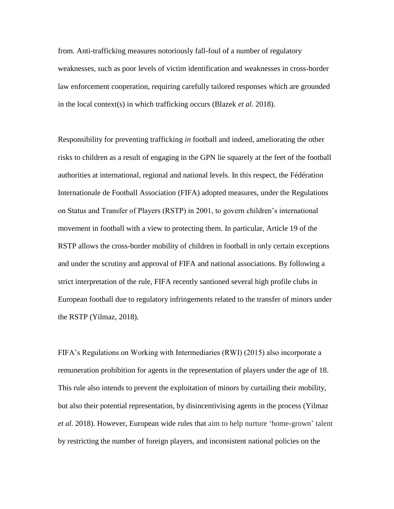from. Anti-trafficking measures notoriously fall-foul of a number of regulatory weaknesses, such as poor levels of victim identification and weaknesses in cross-border law enforcement cooperation, requiring carefully tailored responses which are grounded in the local context(s) in which trafficking occurs (Blazek *et al.* 2018).

Responsibility for preventing trafficking *in* football and indeed, ameliorating the other risks to children as a result of engaging in the GPN lie squarely at the feet of the football authorities at international, regional and national levels. In this respect, the Fédération Internationale de Football Association (FIFA) adopted measures, under the Regulations on Status and Transfer of Players (RSTP) in 2001, to govern children's international movement in football with a view to protecting them. In particular, Article 19 of the RSTP allows the cross-border mobility of children in football in only certain exceptions and under the scrutiny and approval of FIFA and national associations. By following a strict interpretation of the rule, FIFA recently santioned several high profile clubs in European football due to regulatory infringements related to the transfer of minors under the RSTP (Yilmaz, 2018).

FIFA's Regulations on Working with Intermediaries (RWI) (2015) also incorporate a remuneration prohibition for agents in the representation of players under the age of 18. This rule also intends to prevent the exploitation of minors by curtailing their mobility, but also their potential representation, by disincentivising agents in the process (Yilmaz *et al.* 2018). However, European wide rules that aim to help nurture 'home-grown' talent by restricting the number of foreign players, and inconsistent national policies on the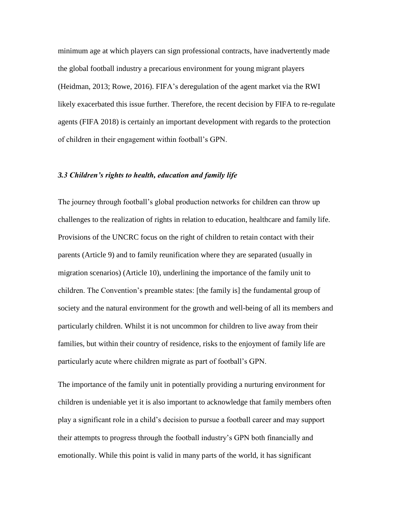minimum age at which players can sign professional contracts, have inadvertently made the global football industry a precarious environment for young migrant players (Heidman, 2013; Rowe, 2016). FIFA's deregulation of the agent market via the RWI likely exacerbated this issue further. Therefore, the recent decision by FIFA to re-regulate agents (FIFA 2018) is certainly an important development with regards to the protection of children in their engagement within football's GPN.

### *3.3 Children's rights to health, education and family life*

The journey through football's global production networks for children can throw up challenges to the realization of rights in relation to education, healthcare and family life. Provisions of the UNCRC focus on the right of children to retain contact with their parents (Article 9) and to family reunification where they are separated (usually in migration scenarios) (Article 10), underlining the importance of the family unit to children. The Convention's preamble states: [the family is] the fundamental group of society and the natural environment for the growth and well-being of all its members and particularly children. Whilst it is not uncommon for children to live away from their families, but within their country of residence, risks to the enjoyment of family life are particularly acute where children migrate as part of football's GPN.

The importance of the family unit in potentially providing a nurturing environment for children is undeniable yet it is also important to acknowledge that family members often play a significant role in a child's decision to pursue a football career and may support their attempts to progress through the football industry's GPN both financially and emotionally. While this point is valid in many parts of the world, it has significant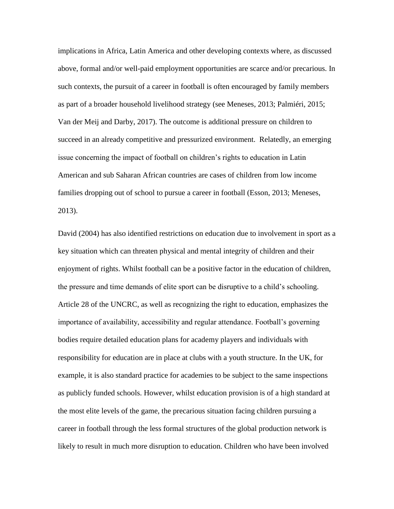implications in Africa, Latin America and other developing contexts where, as discussed above, formal and/or well-paid employment opportunities are scarce and/or precarious. In such contexts, the pursuit of a career in football is often encouraged by family members as part of a broader household livelihood strategy (see Meneses, 2013; Palmiéri, 2015; Van der Meij and Darby, 2017). The outcome is additional pressure on children to succeed in an already competitive and pressurized environment. Relatedly, an emerging issue concerning the impact of football on children's rights to education in Latin American and sub Saharan African countries are cases of children from low income families dropping out of school to pursue a career in football (Esson, 2013; Meneses, 2013).

David (2004) has also identified restrictions on education due to involvement in sport as a key situation which can threaten physical and mental integrity of children and their enjoyment of rights. Whilst football can be a positive factor in the education of children, the pressure and time demands of elite sport can be disruptive to a child's schooling. Article 28 of the UNCRC, as well as recognizing the right to education, emphasizes the importance of availability, accessibility and regular attendance. Football's governing bodies require detailed education plans for academy players and individuals with responsibility for education are in place at clubs with a youth structure. In the UK, for example, it is also standard practice for academies to be subject to the same inspections as publicly funded schools. However, whilst education provision is of a high standard at the most elite levels of the game, the precarious situation facing children pursuing a career in football through the less formal structures of the global production network is likely to result in much more disruption to education. Children who have been involved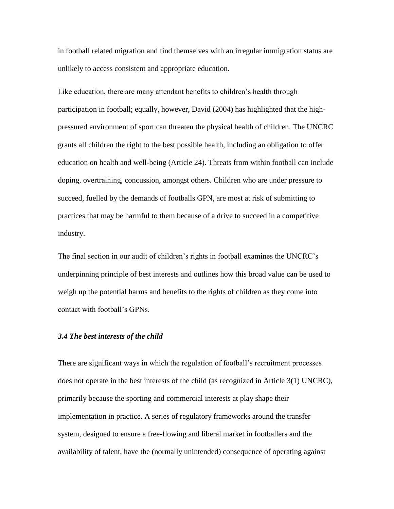in football related migration and find themselves with an irregular immigration status are unlikely to access consistent and appropriate education.

Like education, there are many attendant benefits to children's health through participation in football; equally, however, David (2004) has highlighted that the highpressured environment of sport can threaten the physical health of children. The UNCRC grants all children the right to the best possible health, including an obligation to offer education on health and well-being (Article 24). Threats from within football can include doping, overtraining, concussion, amongst others. Children who are under pressure to succeed, fuelled by the demands of footballs GPN, are most at risk of submitting to practices that may be harmful to them because of a drive to succeed in a competitive industry.

The final section in our audit of children's rights in football examines the UNCRC's underpinning principle of best interests and outlines how this broad value can be used to weigh up the potential harms and benefits to the rights of children as they come into contact with football's GPNs.

### *3.4 The best interests of the child*

There are significant ways in which the regulation of football's recruitment processes does not operate in the best interests of the child (as recognized in Article 3(1) UNCRC), primarily because the sporting and commercial interests at play shape their implementation in practice. A series of regulatory frameworks around the transfer system, designed to ensure a free-flowing and liberal market in footballers and the availability of talent, have the (normally unintended) consequence of operating against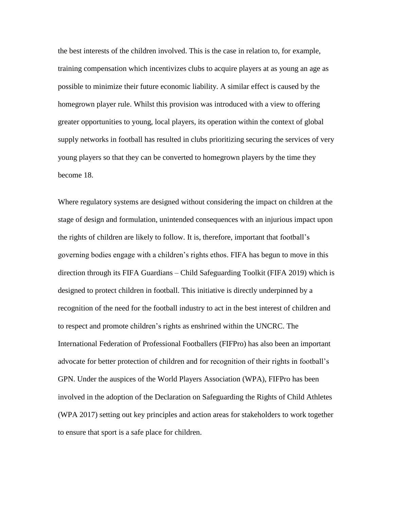the best interests of the children involved. This is the case in relation to, for example, training compensation which incentivizes clubs to acquire players at as young an age as possible to minimize their future economic liability. A similar effect is caused by the homegrown player rule. Whilst this provision was introduced with a view to offering greater opportunities to young, local players, its operation within the context of global supply networks in football has resulted in clubs prioritizing securing the services of very young players so that they can be converted to homegrown players by the time they become 18.

Where regulatory systems are designed without considering the impact on children at the stage of design and formulation, unintended consequences with an injurious impact upon the rights of children are likely to follow. It is, therefore, important that football's governing bodies engage with a children's rights ethos. FIFA has begun to move in this direction through its FIFA Guardians – Child Safeguarding Toolkit (FIFA 2019) which is designed to protect children in football. This initiative is directly underpinned by a recognition of the need for the football industry to act in the best interest of children and to respect and promote children's rights as enshrined within the UNCRC. The International Federation of Professional Footballers (FIFPro) has also been an important advocate for better protection of children and for recognition of their rights in football's GPN. Under the auspices of the World Players Association (WPA), FIFPro has been involved in the adoption of the Declaration on Safeguarding the Rights of Child Athletes (WPA 2017) setting out key principles and action areas for stakeholders to work together to ensure that sport is a safe place for children.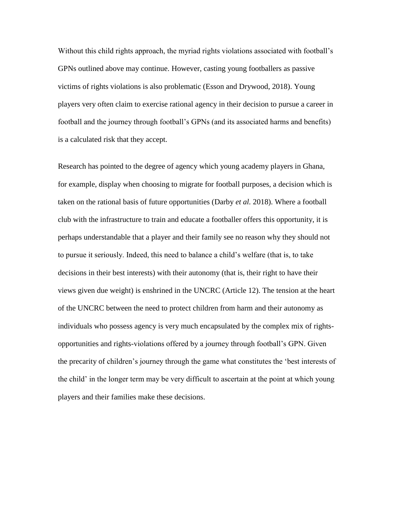Without this child rights approach, the myriad rights violations associated with football's GPNs outlined above may continue. However, casting young footballers as passive victims of rights violations is also problematic (Esson and Drywood, 2018). Young players very often claim to exercise rational agency in their decision to pursue a career in football and the journey through football's GPNs (and its associated harms and benefits) is a calculated risk that they accept.

Research has pointed to the degree of agency which young academy players in Ghana, for example, display when choosing to migrate for football purposes, a decision which is taken on the rational basis of future opportunities (Darby *et al.* 2018). Where a football club with the infrastructure to train and educate a footballer offers this opportunity, it is perhaps understandable that a player and their family see no reason why they should not to pursue it seriously. Indeed, this need to balance a child's welfare (that is, to take decisions in their best interests) with their autonomy (that is, their right to have their views given due weight) is enshrined in the UNCRC (Article 12). The tension at the heart of the UNCRC between the need to protect children from harm and their autonomy as individuals who possess agency is very much encapsulated by the complex mix of rightsopportunities and rights-violations offered by a journey through football's GPN. Given the precarity of children's journey through the game what constitutes the 'best interests of the child' in the longer term may be very difficult to ascertain at the point at which young players and their families make these decisions.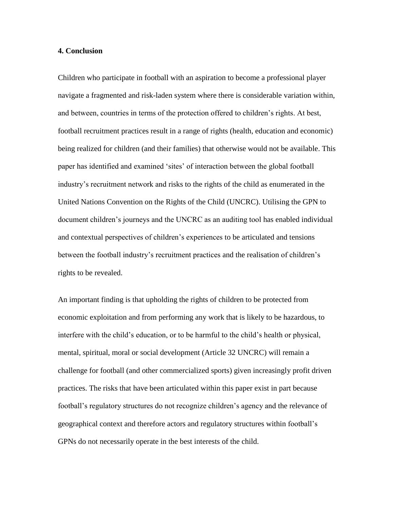### **4. Conclusion**

Children who participate in football with an aspiration to become a professional player navigate a fragmented and risk-laden system where there is considerable variation within, and between, countries in terms of the protection offered to children's rights. At best, football recruitment practices result in a range of rights (health, education and economic) being realized for children (and their families) that otherwise would not be available. This paper has identified and examined 'sites' of interaction between the global football industry's recruitment network and risks to the rights of the child as enumerated in the United Nations Convention on the Rights of the Child (UNCRC). Utilising the GPN to document children's journeys and the UNCRC as an auditing tool has enabled individual and contextual perspectives of children's experiences to be articulated and tensions between the football industry's recruitment practices and the realisation of children's rights to be revealed.

An important finding is that upholding the rights of children to be protected from economic exploitation and from performing any work that is likely to be hazardous, to interfere with the child's education, or to be harmful to the child's health or physical, mental, spiritual, moral or social development (Article 32 UNCRC) will remain a challenge for football (and other commercialized sports) given increasingly profit driven practices. The risks that have been articulated within this paper exist in part because football's regulatory structures do not recognize children's agency and the relevance of geographical context and therefore actors and regulatory structures within football's GPNs do not necessarily operate in the best interests of the child.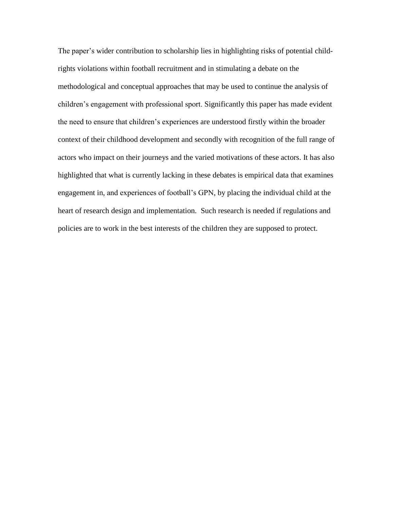The paper's wider contribution to scholarship lies in highlighting risks of potential childrights violations within football recruitment and in stimulating a debate on the methodological and conceptual approaches that may be used to continue the analysis of children's engagement with professional sport. Significantly this paper has made evident the need to ensure that children's experiences are understood firstly within the broader context of their childhood development and secondly with recognition of the full range of actors who impact on their journeys and the varied motivations of these actors. It has also highlighted that what is currently lacking in these debates is empirical data that examines engagement in, and experiences of football's GPN, by placing the individual child at the heart of research design and implementation. Such research is needed if regulations and policies are to work in the best interests of the children they are supposed to protect.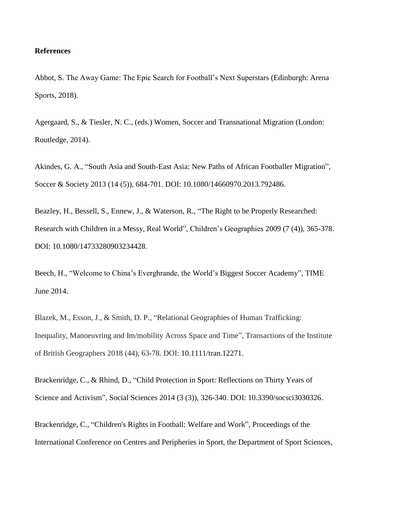### **References**

Abbot, S. The Away Game: The Epic Search for Football's Next Superstars (Edinburgh: Arena Sports, 2018).

Agergaard, S., & Tiesler, N. C., (eds.) Women, Soccer and Transnational Migration (London: Routledge, 2014).

Akindes, G. A., "South Asia and South-East Asia: New Paths of African Footballer Migration", Soccer & Society 2013 (14 (5)), 684-701. DOI: 10.1080/14660970.2013.792486.

Beazley, H., Bessell, S., Ennew, J., & Waterson, R., "The Right to be Properly Researched: Research with Children in a Messy, Real World", Children's Geographies 2009 (7 (4)), 365-378. DOI: 10.1080/14733280903234428.

Beech, H., "Welcome to China's Everghrande, the World's Biggest Soccer Academy", TIME June 2014.

Blazek, M., Esson, J., & Smith, D. P., "Relational Geographies of Human Trafficking: Inequality, Manoeuvring and Im/mobility Across Space and Time", Transactions of the Institute of British Geographers 2018 (44), 63-78. DOI: 10.1111/tran.12271.

Brackenridge, C., & Rhind, D., "Child Protection in Sport: Reflections on Thirty Years of Science and Activism", Social Sciences 2014 (3 (3)), 326-340. DOI: 10.3390/socsci3030326.

Brackenridge, C., "Children's Rights in Football: Welfare and Work", Proceedings of the International Conference on Centres and Peripheries in Sport, the Department of Sport Sciences,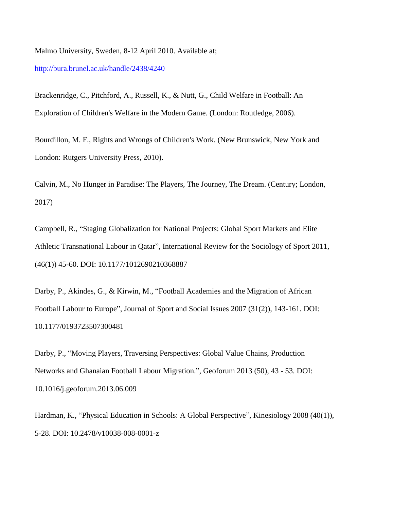Malmo University, Sweden, 8-12 April 2010. Available at;

### <http://bura.brunel.ac.uk/handle/2438/4240>

Brackenridge, C., Pitchford, A., Russell, K., & Nutt, G., Child Welfare in Football: An Exploration of Children's Welfare in the Modern Game. (London: Routledge, 2006).

Bourdillon, M. F., Rights and Wrongs of Children's Work. (New Brunswick, New York and London: Rutgers University Press, 2010).

Calvin, M., No Hunger in Paradise: The Players, The Journey, The Dream. (Century; London, 2017)

Campbell, R., "Staging Globalization for National Projects: Global Sport Markets and Elite Athletic Transnational Labour in Qatar", International Review for the Sociology of Sport 2011, (46(1)) 45-60. DOI: 10.1177/1012690210368887

Darby, P., Akindes, G., & Kirwin, M., "Football Academies and the Migration of African Football Labour to Europe", Journal of Sport and Social Issues 2007 (31(2)), 143-161. DOI: 10.1177/0193723507300481

Darby, P., "Moving Players, Traversing Perspectives: Global Value Chains, Production Networks and Ghanaian Football Labour Migration.", Geoforum 2013 (50), 43 - 53. DOI: 10.1016/j.geoforum.2013.06.009

Hardman, K., "Physical Education in Schools: A Global Perspective", Kinesiology 2008 (40(1)), 5-28. DOI: 10.2478/v10038-008-0001-z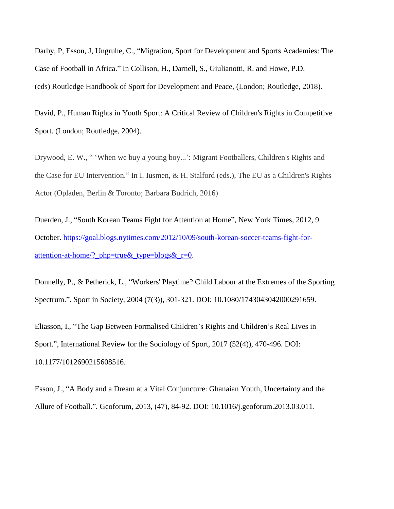Darby, P, Esson, J, Ungruhe, C., "Migration, [Sport for Development and Sports Academies: The](https://dspace.lboro.ac.uk/2134/27333)  [Case of Football in Africa.](https://dspace.lboro.ac.uk/2134/27333)" In Collison, H., Darnell, S., Giulianotti, R. and Howe, P.D. (eds) Routledge Handbook of Sport for Development and Peace, (London; Routledge, 2018).

David, P., Human Rights in Youth Sport: A Critical Review of Children's Rights in Competitive Sport. (London; Routledge, 2004).

Drywood, E. W., " 'When we buy a young boy...': Migrant Footballers, Children's Rights and the Case for EU Intervention." In I. Iusmen, & H. Stalford (eds.), The EU as a Children's Rights Actor (Opladen, Berlin & Toronto; Barbara Budrich, 2016)

Duerden, J., "South Korean Teams Fight for Attention at Home", New York Times, 2012, 9 October. [https://goal.blogs.nytimes.com/2012/10/09/south-korean-soccer-teams-fight-for](https://goal.blogs.nytimes.com/2012/10/09/south-korean-soccer-teams-fight-for-attention-at-home/?_php=true&_type=blogs&_r=0)attention-at-home/? php=true & type=blogs  $x = 0$ .

Donnelly, P., & Petherick, L., "Workers' Playtime? Child Labour at the Extremes of the Sporting Spectrum.", Sport in Society, 2004 (7(3)), 301-321. DOI: 10.1080/1743043042000291659.

Eliasson, I., "The Gap Between Formalised Children's Rights and Children's Real Lives in Sport.", International Review for the Sociology of Sport, 2017 (52(4)), 470-496. DOI: 10.1177/1012690215608516.

Esson, J., "A Body and a Dream at a Vital Conjuncture: Ghanaian Youth, Uncertainty and the Allure of Football.", Geoforum, 2013, (47), 84-92. DOI: 10.1016/j.geoforum.2013.03.011.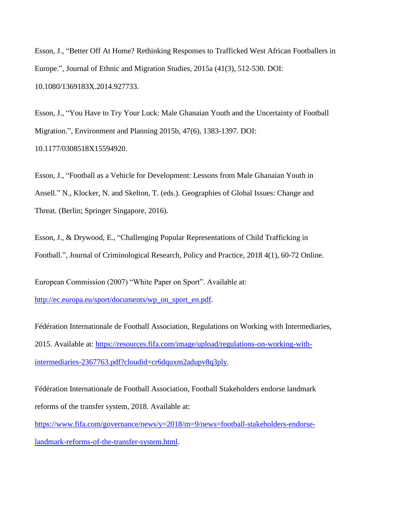Esson, J., "Better Off At Home? Rethinking Responses to Trafficked West African Footballers in Europe.", Journal of Ethnic and Migration Studies, 2015a (41(3), 512-530. DOI: 10.1080/1369183X.2014.927733.

Esson, J., "You Have to Try Your Luck: Male Ghanaian Youth and the Uncertainty of Football Migration.", Environment and Planning 2015b, 47(6), 1383-1397. DOI: 10.1177/0308518X15594920.

Esson, J., "Football as a Vehicle for Development: Lessons from Male Ghanaian Youth in Ansell." N., Klocker, N. and Skelton, T. (eds.). Geographies of Global Issues: Change and Threat. (Berlin; Springer Singapore, 2016).

Esson, J., & Drywood, E., "Challenging Popular Representations of Child Trafficking in Football.", Journal of Criminological Research, Policy and Practice, 2018 4(1), 60-72 Online.

European Commission (2007) "White Paper on Sport". Available at: [http://ec.europa.eu/sport/documents/wp\\_on\\_sport\\_en.pdf.](http://ec.europa.eu/sport/documents/wp_on_sport_en.pdf)

Fédération Internationale de Football Association, Regulations on Working with Intermediaries, 2015. Available at: [https://resources.fifa.com/image/upload/regulations-on-working-with](https://resources.fifa.com/image/upload/regulations-on-working-with-intermediaries-2367763.pdf?cloudid=cr6dquxm2adupv8q3ply)[intermediaries-2367763.pdf?cloudid=cr6dquxm2adupv8q3ply.](https://resources.fifa.com/image/upload/regulations-on-working-with-intermediaries-2367763.pdf?cloudid=cr6dquxm2adupv8q3ply)

Fédération Internationale de Football Association, Football Stakeholders endorse landmark reforms of the transfer system, 2018. Available at:

[https://www.fifa.com/governance/news/y=2018/m=9/news=football-stakeholders-endorse](https://www.fifa.com/governance/news/y=2018/m=9/news=football-stakeholders-endorse-landmark-reforms-of-the-transfer-system.html)[landmark-reforms-of-the-transfer-system.html.](https://www.fifa.com/governance/news/y=2018/m=9/news=football-stakeholders-endorse-landmark-reforms-of-the-transfer-system.html)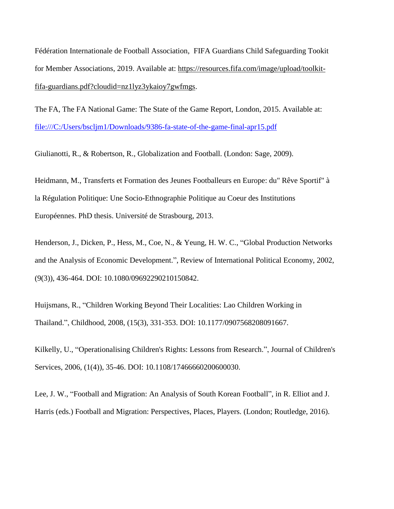Fédération Internationale de Football Association, FIFA Guardians Child Safeguarding Tookit for Member Associations, 2019. Available at: [https://resources.fifa.com/image/upload/toolkit](https://resources.fifa.com/image/upload/toolkit-fifa-guardians.pdf?cloudid=nz1lyz3ykaioy7gwfmgs)[fifa-guardians.pdf?cloudid=nz1lyz3ykaioy7gwfmgs.](https://resources.fifa.com/image/upload/toolkit-fifa-guardians.pdf?cloudid=nz1lyz3ykaioy7gwfmgs)

The FA, The FA National Game: The State of the Game Report, London, 2015. Available at: <file:///C:/Users/bscljm1/Downloads/9386-fa-state-of-the-game-final-apr15.pdf>

Giulianotti, R., & Robertson, R., Globalization and Football. (London: Sage, 2009).

Heidmann, M., Transferts et Formation des Jeunes Footballeurs en Europe: du" Rêve Sportif" à la Régulation Politique: Une Socio-Ethnographie Politique au Coeur des Institutions Européennes. PhD thesis. Université de Strasbourg, 2013.

Henderson, J., Dicken, P., Hess, M., Coe, N., & Yeung, H. W. C., "Global Production Networks and the Analysis of Economic Development.", Review of International Political Economy, 2002, (9(3)), 436-464. DOI: 10.1080/09692290210150842.

Huijsmans, R., "Children Working Beyond Their Localities: Lao Children Working in Thailand.", Childhood, 2008, (15(3), 331-353. DOI: 10.1177/0907568208091667.

Kilkelly, U., "Operationalising Children's Rights: Lessons from Research.", Journal of Children's Services, 2006, (1(4)), 35-46. DOI: 10.1108/17466660200600030.

Lee, J. W., "Football and Migration: An Analysis of South Korean Football", in R. Elliot and J. Harris (eds.) Football and Migration: Perspectives, Places, Players. (London; Routledge, 2016).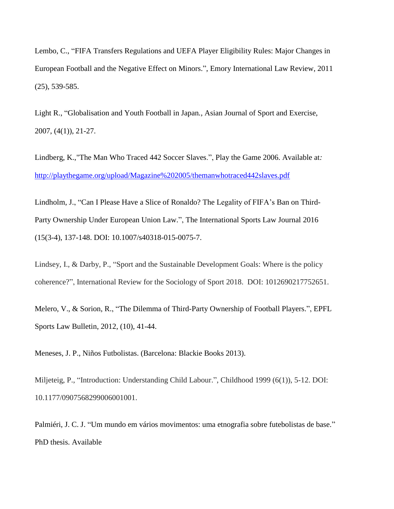Lembo, C., "FIFA Transfers Regulations and UEFA Player Eligibility Rules: Major Changes in European Football and the Negative Effect on Minors.", Emory International Law Review, 2011 (25), 539-585.

Light R., "Globalisation and Youth Football in Japan*.,* Asian Journal of Sport and Exercise, 2007, (4(1)), 21-27.

Lindberg, K.,"The Man Who Traced 442 Soccer Slaves.", Play the Game 2006. Available at*:*  <http://playthegame.org/upload/Magazine%202005/themanwhotraced442slaves.pdf>

Lindholm, J., "Can I Please Have a Slice of Ronaldo? The Legality of FIFA's Ban on Third-Party Ownership Under European Union Law.", The International Sports Law Journal 2016 (15(3-4), 137-148. DOI: 10.1007/s40318-015-0075-7.

Lindsey, I., & Darby, P., "Sport and the Sustainable Development Goals: Where is the policy coherence?", International Review for the Sociology of Sport 2018. DOI: 1012690217752651.

Melero, V., & Sorion, R., "The Dilemma of Third-Party Ownership of Football Players.", EPFL Sports Law Bulletin, 2012, (10), 41-44.

Meneses, J. P., Niños Futbolistas. (Barcelona: Blackie Books 2013).

Miljeteig, P., "Introduction: Understanding Child Labour.", Childhood 1999 (6(1)), 5-12. DOI: 10.1177/0907568299006001001.

Palmiéri, J. C. J. "Um mundo em vários movimentos: uma etnografia sobre futebolistas de base." PhD thesis. Available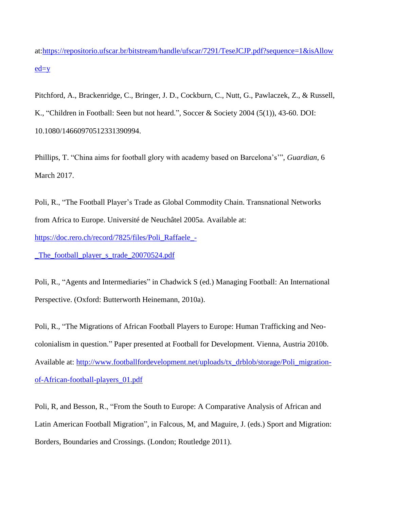at[:https://repositorio.ufscar.br/bitstream/handle/ufscar/7291/TeseJCJP.pdf?sequence=1&isAllow](https://repositorio.ufscar.br/bitstream/handle/ufscar/7291/TeseJCJP.pdf?sequence=1&isAllowed=y)  $ed=y$ 

Pitchford, A., Brackenridge, C., Bringer, J. D., Cockburn, C., Nutt, G., Pawlaczek, Z., & Russell, K., "Children in Football: Seen but not heard.", Soccer & Society 2004 (5(1)), 43-60. DOI: 10.1080/14660970512331390994.

Phillips, T. "China aims for football glory with academy based on Barcelona's'", *Guardian*, 6 March 2017.

Poli, R., "The Football Player's Trade as Global Commodity Chain. Transnational Networks from Africa to Europe. Université de Neuchâtel 2005a. Available at:

[https://doc.rero.ch/record/7825/files/Poli\\_Raffaele\\_-](https://doc.rero.ch/record/7825/files/Poli_Raffaele_-_The_football_player_s_trade_20070524.pdf)

The football player s trade 20070524.pdf

Poli, R., "Agents and Intermediaries" in Chadwick S (ed.) Managing Football: An International Perspective. (Oxford: Butterworth Heinemann, 2010a).

Poli, R., "The Migrations of African Football Players to Europe: Human Trafficking and Neocolonialism in question." Paper presented at Football for Development. Vienna, Austria 2010b. Available at: [http://www.footballfordevelopment.net/uploads/tx\\_drblob/storage/Poli\\_migration](http://www.footballfordevelopment.net/uploads/tx_drblob/storage/Poli_migration-of-African-football-players_01.pdf)[of-African-football-players\\_01.pdf](http://www.footballfordevelopment.net/uploads/tx_drblob/storage/Poli_migration-of-African-football-players_01.pdf)

Poli, R, and Besson, R., "From the South to Europe: A Comparative Analysis of African and Latin American Football Migration", in Falcous, M, and Maguire, J. (eds.) Sport and Migration: Borders, Boundaries and Crossings. (London; Routledge 2011).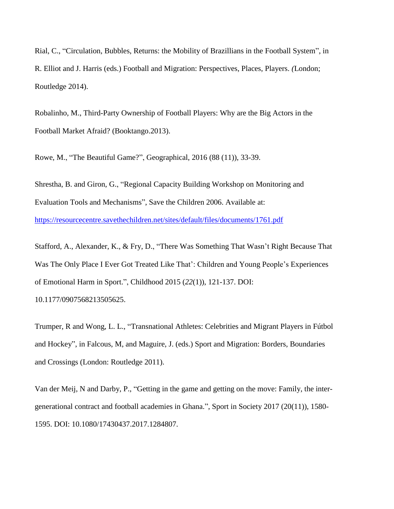Rial, C., "Circulation, Bubbles, Returns: the Mobility of Brazillians in the Football System", in R. Elliot and J. Harris (eds.) Football and Migration: Perspectives, Places, Players. *(*London; Routledge 2014).

Robalinho, M., Third-Party Ownership of Football Players: Why are the Big Actors in the Football Market Afraid? (Booktango.2013).

Rowe, M., "The Beautiful Game?", Geographical, 2016 (88 (11)), 33-39.

Shrestha, B. and Giron, G., "Regional Capacity Building Workshop on Monitoring and Evaluation Tools and Mechanisms", Save the Children 2006. Available at: <https://resourcecentre.savethechildren.net/sites/default/files/documents/1761.pdf>

Stafford, A., Alexander, K., & Fry, D., "There Was Something That Wasn't Right Because That Was The Only Place I Ever Got Treated Like That': Children and Young People's Experiences of Emotional Harm in Sport.", Childhood 2015 (*22*(1)), 121-137. DOI: 10.1177/0907568213505625.

Trumper, R and Wong, L. L., "Transnational Athletes: Celebrities and Migrant Players in Fútbol and Hockey", in Falcous, M, and Maguire, J. (eds.) Sport and Migration: Borders, Boundaries and Crossings (London: Routledge 2011).

Van der Meij, N and Darby, P., "Getting in the game and getting on the move: Family, the intergenerational contract and football academies in Ghana.", Sport in Society 2017 (20(11)), 1580- 1595. DOI: 10.1080/17430437.2017.1284807.